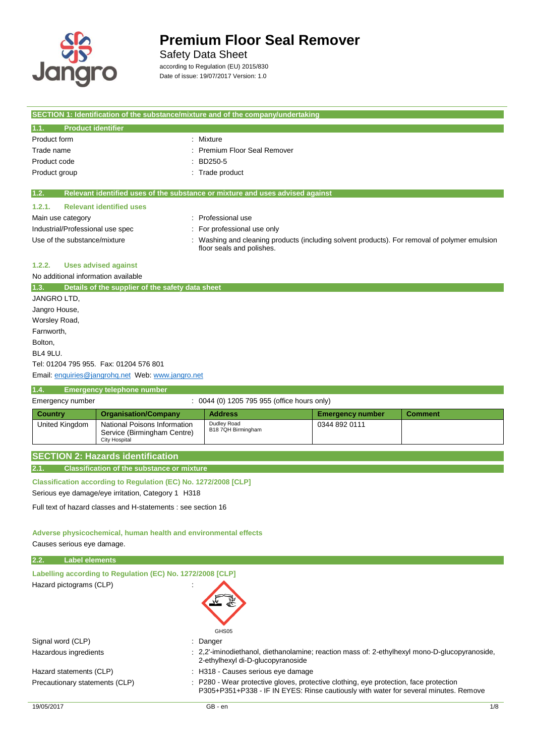

### Safety Data Sheet

according to Regulation (EU) 2015/830 Date of issue: 19/07/2017 Version: 1.0

|                                     |                                                                                     | SECTION 1: Identification of the substance/mixture and of the company/undertaking                                          |                         |                |
|-------------------------------------|-------------------------------------------------------------------------------------|----------------------------------------------------------------------------------------------------------------------------|-------------------------|----------------|
| 1.1.<br><b>Product identifier</b>   |                                                                                     |                                                                                                                            |                         |                |
| Product form                        |                                                                                     | Mixture                                                                                                                    |                         |                |
| Trade name                          |                                                                                     | Premium Floor Seal Remover                                                                                                 |                         |                |
| Product code                        |                                                                                     | BD250-5                                                                                                                    |                         |                |
| Product group                       |                                                                                     | : Trade product                                                                                                            |                         |                |
| 1.2.                                |                                                                                     | Relevant identified uses of the substance or mixture and uses advised against                                              |                         |                |
| 1.2.1.                              | <b>Relevant identified uses</b>                                                     |                                                                                                                            |                         |                |
| Main use category                   |                                                                                     | : Professional use                                                                                                         |                         |                |
| Industrial/Professional use spec    |                                                                                     | For professional use only                                                                                                  |                         |                |
| Use of the substance/mixture        |                                                                                     | : Washing and cleaning products (including solvent products). For removal of polymer emulsion<br>floor seals and polishes. |                         |                |
| 1.2.2.                              | <b>Uses advised against</b>                                                         |                                                                                                                            |                         |                |
| No additional information available |                                                                                     |                                                                                                                            |                         |                |
| 1.3.                                | Details of the supplier of the safety data sheet                                    |                                                                                                                            |                         |                |
| JANGRO LTD.                         |                                                                                     |                                                                                                                            |                         |                |
| Jangro House,                       |                                                                                     |                                                                                                                            |                         |                |
| Worsley Road,                       |                                                                                     |                                                                                                                            |                         |                |
| Farnworth,                          |                                                                                     |                                                                                                                            |                         |                |
| Bolton,                             |                                                                                     |                                                                                                                            |                         |                |
| <b>BL4 9LU.</b>                     |                                                                                     |                                                                                                                            |                         |                |
|                                     | Tel: 01204 795 955. Fax: 01204 576 801                                              |                                                                                                                            |                         |                |
|                                     | Email: enquiries@jangrohq.net Web: www.jangro.net                                   |                                                                                                                            |                         |                |
| 1.4.                                | <b>Emergency telephone number</b>                                                   |                                                                                                                            |                         |                |
| Emergency number                    |                                                                                     | : 0044 (0) 1205 795 955 (office hours only)                                                                                |                         |                |
| <b>Country</b>                      | <b>Organisation/Company</b>                                                         | <b>Address</b>                                                                                                             | <b>Emergency number</b> | <b>Comment</b> |
| <b>United Kingdom</b>               | National Poisons Information<br>Service (Birmingham Centre)<br><b>City Hospital</b> | Dudley Road<br>B18 7QH Birmingham                                                                                          | 0344 892 0111           |                |
|                                     | <b>SECTION 2: Hazards identification</b>                                            |                                                                                                                            |                         |                |
| 2.1.                                | <b>Classification of the substance or mixture</b>                                   |                                                                                                                            |                         |                |
|                                     | Classification according to Regulation (EC) No. 1272/2008 [CLP]                     |                                                                                                                            |                         |                |

Serious eye damage/eye irritation, Category 1 H318

Full text of hazard classes and H-statements : see section 16

#### **Adverse physicochemical, human health and environmental effects**

Causes serious eye damage.

| 2.2.<br><b>Label elements</b>                              |                                                                                                                                                                               |     |
|------------------------------------------------------------|-------------------------------------------------------------------------------------------------------------------------------------------------------------------------------|-----|
| Labelling according to Regulation (EC) No. 1272/2008 [CLP] |                                                                                                                                                                               |     |
| Hazard pictograms (CLP)                                    | GHS05                                                                                                                                                                         |     |
| Signal word (CLP)                                          | $:$ Danger                                                                                                                                                                    |     |
| Hazardous ingredients                                      | : 2.2'-iminodiethanol, diethanolamine; reaction mass of: 2-ethylhexyl mono-D-glucopyranoside,<br>2-ethylhexyl di-D-glucopyranoside                                            |     |
| Hazard statements (CLP)                                    | : H318 - Causes serious eye damage                                                                                                                                            |     |
| Precautionary statements (CLP)                             | : P280 - Wear protective gloves, protective clothing, eye protection, face protection<br>P305+P351+P338 - IF IN EYES: Rinse cautiously with water for several minutes. Remove |     |
| 19/05/2017                                                 | GB - en                                                                                                                                                                       | 1/8 |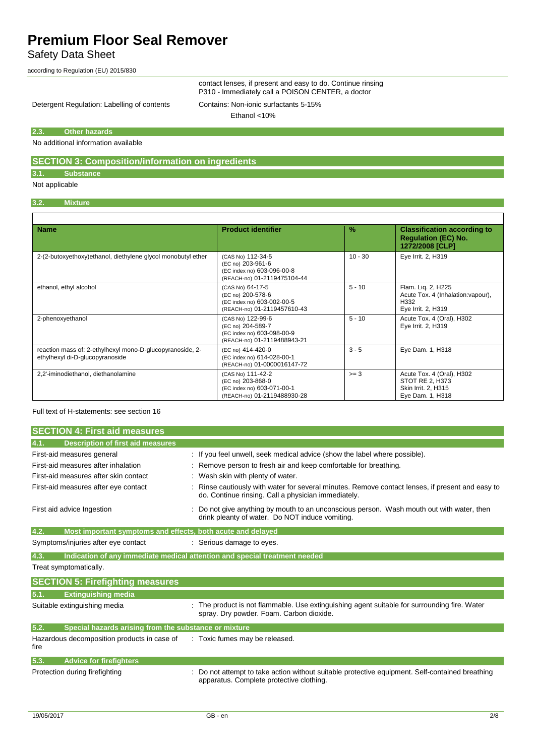Safety Data Sheet

according to Regulation (EU) 2015/830

contact lenses, if present and easy to do. Continue rinsing P310 - Immediately call a POISON CENTER, a doctor

Detergent Regulation: Labelling of contents Contains: Non-ionic surfactants 5-15%

Ethanol <10%

#### **2.3. Other hazards**

No additional information available

### **SECTION 3: Composition/information on ingredients**

**3.1. Substance**

Not applicable

 $\mathsf{r}$ 

### **3.2. Mixture**

| <b>Name</b>                                                                                  | <b>Product identifier</b>                                                                           | $\%$      | <b>Classification according to</b><br><b>Regulation (EC) No.</b><br>1272/2008 [CLP]     |
|----------------------------------------------------------------------------------------------|-----------------------------------------------------------------------------------------------------|-----------|-----------------------------------------------------------------------------------------|
| 2-(2-butoxyethoxy)ethanol, diethylene glycol monobutyl ether                                 | (CAS No) 112-34-5<br>(EC no) 203-961-6<br>(EC index no) 603-096-00-8<br>(REACH-no) 01-2119475104-44 | $10 - 30$ | Eye Irrit. 2, H319                                                                      |
| ethanol, ethyl alcohol                                                                       | (CAS No) 64-17-5<br>(EC no) 200-578-6<br>(EC index no) 603-002-00-5<br>(REACH-no) 01-2119457610-43  | $5 - 10$  | Flam. Lig. 2, H225<br>Acute Tox. 4 (Inhalation: vapour),<br>H332<br>Eye Irrit. 2, H319  |
| 2-phenoxyethanol                                                                             | (CAS No) 122-99-6<br>(EC no) 204-589-7<br>(EC index no) 603-098-00-9<br>(REACH-no) 01-2119488943-21 | $5 - 10$  | Acute Tox. 4 (Oral), H302<br>Eye Irrit. 2, H319                                         |
| reaction mass of: 2-ethylhexyl mono-D-glucopyranoside, 2-<br>ethylhexyl di-D-glucopyranoside | (EC no) 414-420-0<br>(EC index no) 614-028-00-1<br>(REACH-no) 01-0000016147-72                      | $3 - 5$   | Eye Dam. 1, H318                                                                        |
| 2,2'-iminodiethanol, diethanolamine                                                          | (CAS No) 111-42-2<br>(EC no) 203-868-0<br>(EC index no) 603-071-00-1<br>(REACH-no) 01-2119488930-28 | $>= 3$    | Acute Tox. 4 (Oral), H302<br>STOT RE 2, H373<br>Skin Irrit. 2, H315<br>Eye Dam. 1, H318 |

Full text of H-statements: see section 16

| <b>SECTION 4: First aid measures</b>                                |                                                                                                                                                       |
|---------------------------------------------------------------------|-------------------------------------------------------------------------------------------------------------------------------------------------------|
| <b>Description of first aid measures</b><br>4.1.                    |                                                                                                                                                       |
| First-aid measures general                                          | : If you feel unwell, seek medical advice (show the label where possible).                                                                            |
| First-aid measures after inhalation                                 | Remove person to fresh air and keep comfortable for breathing.                                                                                        |
| First-aid measures after skin contact                               | Wash skin with plenty of water.                                                                                                                       |
| First-aid measures after eye contact                                | Rinse cautiously with water for several minutes. Remove contact lenses, if present and easy to<br>do. Continue rinsing. Call a physician immediately. |
| First aid advice Ingestion                                          | Do not give anything by mouth to an unconscious person. Wash mouth out with water, then<br>drink pleanty of water. Do NOT induce vomiting.            |
| 4.2.<br>Most important symptoms and effects, both acute and delayed |                                                                                                                                                       |
| Symptoms/injuries after eye contact                                 | : Serious damage to eyes.                                                                                                                             |
| 4.3.                                                                | Indication of any immediate medical attention and special treatment needed                                                                            |
| Treat symptomatically.                                              |                                                                                                                                                       |
| <b>SECTION 5: Firefighting measures</b>                             |                                                                                                                                                       |
| 5.1.<br><b>Extinguishing media</b>                                  |                                                                                                                                                       |
| Suitable extinguishing media                                        | The product is not flammable. Use extinguishing agent suitable for surrounding fire. Water<br>spray. Dry powder. Foam. Carbon dioxide.                |
| 5.2.<br>Special hazards arising from the substance or mixture       |                                                                                                                                                       |
| Hazardous decomposition products in case of<br>fire                 | : Toxic fumes may be released.                                                                                                                        |
| 5.3.<br><b>Advice for firefighters</b>                              |                                                                                                                                                       |
| Protection during firefighting                                      | Do not attempt to take action without suitable protective equipment. Self-contained breathing<br>apparatus. Complete protective clothing.             |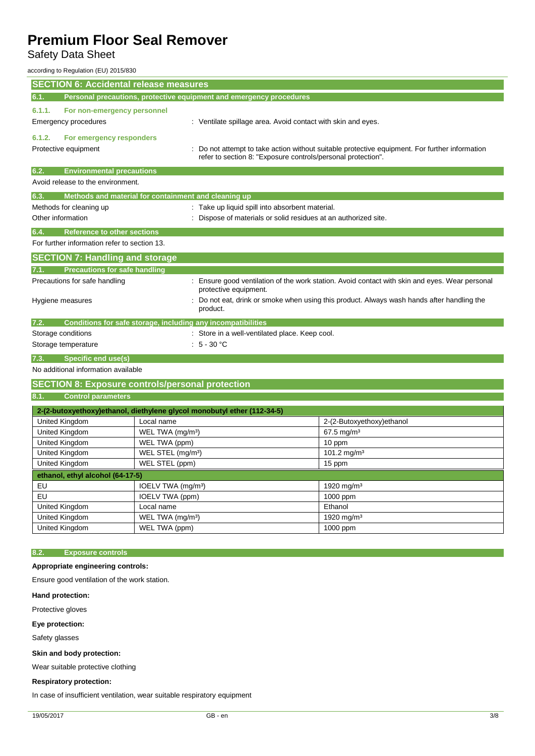### Safety Data Sheet

according to Regulation (EU) 2015/830

| <b>SECTION 6: Accidental release measures</b>                                                                                   |                                                                                                                                                              |                                                                                          |  |
|---------------------------------------------------------------------------------------------------------------------------------|--------------------------------------------------------------------------------------------------------------------------------------------------------------|------------------------------------------------------------------------------------------|--|
| 6.1.                                                                                                                            | Personal precautions, protective equipment and emergency procedures                                                                                          |                                                                                          |  |
| 6.1.1.<br>For non-emergency personnel                                                                                           |                                                                                                                                                              |                                                                                          |  |
| Emergency procedures                                                                                                            |                                                                                                                                                              | : Ventilate spillage area. Avoid contact with skin and eyes.                             |  |
| 6.1.2.<br>For emergency responders                                                                                              |                                                                                                                                                              |                                                                                          |  |
| Protective equipment                                                                                                            | Do not attempt to take action without suitable protective equipment. For further information<br>refer to section 8: "Exposure controls/personal protection". |                                                                                          |  |
| 6.2.<br><b>Environmental precautions</b>                                                                                        |                                                                                                                                                              |                                                                                          |  |
| Avoid release to the environment.                                                                                               |                                                                                                                                                              |                                                                                          |  |
| 6.3.                                                                                                                            | Methods and material for containment and cleaning up                                                                                                         |                                                                                          |  |
| Methods for cleaning up<br>: Take up liquid spill into absorbent material.                                                      |                                                                                                                                                              |                                                                                          |  |
| Other information                                                                                                               |                                                                                                                                                              | : Dispose of materials or solid residues at an authorized site.                          |  |
| <b>Reference to other sections</b><br>6.4.                                                                                      |                                                                                                                                                              |                                                                                          |  |
| For further information refer to section 13.                                                                                    |                                                                                                                                                              |                                                                                          |  |
| <b>SECTION 7: Handling and storage</b>                                                                                          |                                                                                                                                                              |                                                                                          |  |
| <b>Precautions for safe handling</b><br>7.1.                                                                                    |                                                                                                                                                              |                                                                                          |  |
| Precautions for safe handling<br>: Ensure good ventilation of the work station. Avoid contact with skin and eyes. Wear personal |                                                                                                                                                              |                                                                                          |  |
|                                                                                                                                 | protective equipment.                                                                                                                                        | Do not eat, drink or smoke when using this product. Always wash hands after handling the |  |
| Hygiene measures                                                                                                                | product.                                                                                                                                                     |                                                                                          |  |
| 7.2.                                                                                                                            | Conditions for safe storage, including any incompatibilities                                                                                                 |                                                                                          |  |
| Storage conditions<br>: Store in a well-ventilated place. Keep cool.                                                            |                                                                                                                                                              |                                                                                          |  |
| $:5 - 30 °C$<br>Storage temperature                                                                                             |                                                                                                                                                              |                                                                                          |  |
| Specific end use(s)<br>7.3.                                                                                                     |                                                                                                                                                              |                                                                                          |  |
| No additional information available                                                                                             |                                                                                                                                                              |                                                                                          |  |
|                                                                                                                                 | <b>SECTION 8: Exposure controls/personal protection</b>                                                                                                      |                                                                                          |  |
| <b>Control parameters</b><br>8.1.                                                                                               |                                                                                                                                                              |                                                                                          |  |
|                                                                                                                                 | 2-(2-butoxyethoxy) ethanol, diethylene glycol monobutyl ether (112-34-5)                                                                                     |                                                                                          |  |
| United Kingdom                                                                                                                  | Local name                                                                                                                                                   | 2-(2-Butoxyethoxy)ethanol                                                                |  |
| United Kingdom                                                                                                                  | WEL TWA (mg/m <sup>3</sup> )                                                                                                                                 | 67.5 mg/m <sup>3</sup>                                                                   |  |
| United Kingdom                                                                                                                  | WEL TWA (ppm)                                                                                                                                                | 10 ppm                                                                                   |  |
| United Kingdom                                                                                                                  | WEL STEL (mg/m <sup>3</sup> )                                                                                                                                | 101.2 mg/m <sup>3</sup>                                                                  |  |
| United Kingdom                                                                                                                  | WEL STEL (ppm)                                                                                                                                               | 15 ppm                                                                                   |  |
| ethanol, ethyl alcohol (64-17-5)                                                                                                |                                                                                                                                                              |                                                                                          |  |
| EU                                                                                                                              | IOELV TWA (mg/m <sup>3</sup> )                                                                                                                               | 1920 mg/m <sup>3</sup>                                                                   |  |
| EU                                                                                                                              | IOELV TWA (ppm)                                                                                                                                              | 1000 ppm                                                                                 |  |
| United Kingdom                                                                                                                  | Local name                                                                                                                                                   | Ethanol                                                                                  |  |
| United Kingdom                                                                                                                  | WEL TWA (mg/m <sup>3</sup> )                                                                                                                                 | 1920 mg/m <sup>3</sup>                                                                   |  |
| United Kingdom                                                                                                                  | WEL TWA (ppm)                                                                                                                                                | 1000 ppm                                                                                 |  |
|                                                                                                                                 |                                                                                                                                                              |                                                                                          |  |
| <b>Exposure controls</b><br>8.2.                                                                                                |                                                                                                                                                              |                                                                                          |  |
|                                                                                                                                 |                                                                                                                                                              |                                                                                          |  |
| Appropriate engineering controls:                                                                                               |                                                                                                                                                              |                                                                                          |  |

Ensure good ventilation of the work station.

**Hand protection:**

Protective gloves

**Eye protection:**

Safety glasses

**Skin and body protection:**

Wear suitable protective clothing

### **Respiratory protection:**

In case of insufficient ventilation, wear suitable respiratory equipment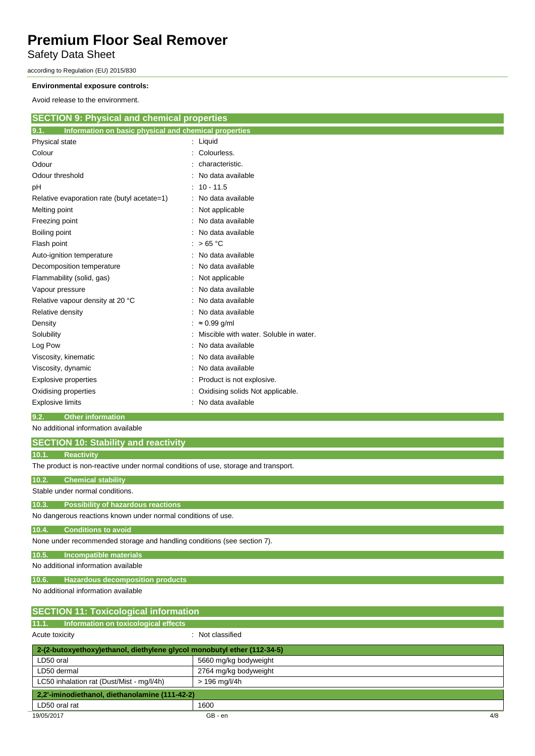Safety Data Sheet

according to Regulation (EU) 2015/830

#### **Environmental exposure controls:**

Avoid release to the environment.

| <b>SECTION 9: Physical and chemical properties</b>            |                                        |
|---------------------------------------------------------------|----------------------------------------|
| 9.1.<br>Information on basic physical and chemical properties |                                        |
| Physical state                                                | $:$ Liquid                             |
| Colour                                                        | Colourless.                            |
| Odour                                                         | characteristic.                        |
| Odour threshold                                               | No data available                      |
| pH                                                            | $: 10 - 11.5$                          |
| Relative evaporation rate (butyl acetate=1)                   | No data available                      |
| Melting point                                                 | Not applicable                         |
| Freezing point                                                | No data available                      |
| Boiling point                                                 | No data available                      |
| Flash point                                                   | : $>65^{\circ}$ C                      |
| Auto-ignition temperature                                     | : No data available                    |
| Decomposition temperature                                     | No data available                      |
| Flammability (solid, gas)                                     | Not applicable                         |
| Vapour pressure                                               | No data available                      |
| Relative vapour density at 20 °C                              | No data available                      |
| Relative density                                              | No data available                      |
| Density                                                       | $: \approx 0.99$ g/ml                  |
| Solubility                                                    | Miscible with water. Soluble in water. |
| Log Pow                                                       | No data available                      |
| Viscosity, kinematic                                          | No data available                      |
| Viscosity, dynamic                                            | No data available                      |
| <b>Explosive properties</b>                                   | Product is not explosive.              |
| Oxidising properties                                          | Oxidising solids Not applicable.       |
| <b>Explosive limits</b>                                       | No data available                      |
|                                                               |                                        |

### **9.2. Other information**

No additional information available

| No additional information available                                                |
|------------------------------------------------------------------------------------|
| <b>SECTION 10: Stability and reactivity</b>                                        |
| 10.1.<br><b>Reactivity</b>                                                         |
| The product is non-reactive under normal conditions of use, storage and transport. |
| 10.2.<br><b>Chemical stability</b>                                                 |
| Stable under normal conditions.                                                    |
| 10.3.<br><b>Possibility of hazardous reactions</b>                                 |
| No dangerous reactions known under normal conditions of use.                       |
| 10.4.<br><b>Conditions to avoid</b>                                                |
| None under recommended storage and handling conditions (see section 7).            |
| 10.5.<br><b>Incompatible materials</b>                                             |
| No additional information available                                                |
| 10.6.<br><b>Hazardous decomposition products</b>                                   |
| No additional information available                                                |
| <b>SECTION 11: Toxicological information</b>                                       |
| 11.1.<br>Information on toxicological effects                                      |
| : Not classified<br>Acute toxicity                                                 |
| 2-(2-hutoxyathoxy)athanol diathylana glycol monobutyl ather (112-34-5)             |

| 2-(2-butoxyethoxy)ethanol, diethylene glycol monobutyl ether (112-34-5) |                       |     |
|-------------------------------------------------------------------------|-----------------------|-----|
| LD50 oral                                                               | 5660 mg/kg bodyweight |     |
| LD50 dermal                                                             | 2764 mg/kg bodyweight |     |
| LC50 inhalation rat (Dust/Mist - mg/l/4h)                               | > 196 mg/l/4h         |     |
| 2,2'-iminodiethanol, diethanolamine (111-42-2)                          |                       |     |
| LD50 oral rat                                                           | 1600                  |     |
| 19/05/2017                                                              | GB - en               | 4/8 |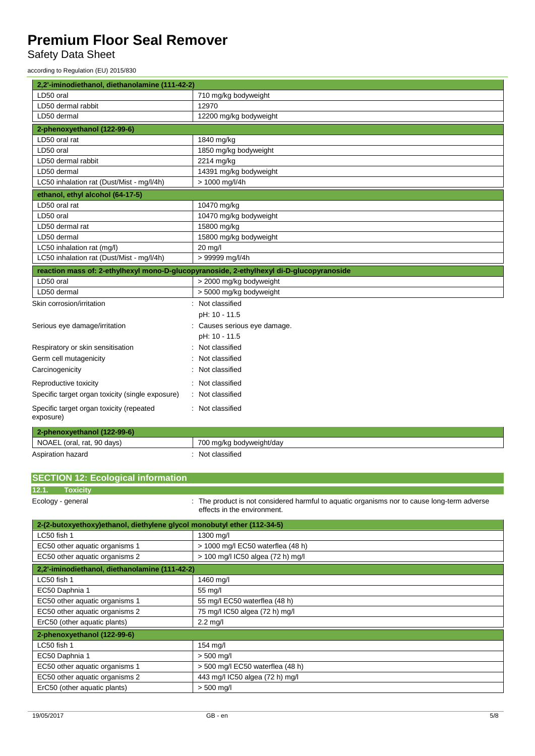Safety Data Sheet

according to Regulation (EU) 2015/830

| 2,2'-iminodiethanol, diethanolamine (111-42-2)                          |                                                                                                                          |  |
|-------------------------------------------------------------------------|--------------------------------------------------------------------------------------------------------------------------|--|
| LD50 oral                                                               | 710 mg/kg bodyweight                                                                                                     |  |
| LD50 dermal rabbit                                                      | 12970                                                                                                                    |  |
| LD50 dermal                                                             | 12200 mg/kg bodyweight                                                                                                   |  |
| 2-phenoxyethanol (122-99-6)                                             |                                                                                                                          |  |
| LD50 oral rat                                                           | 1840 mg/kg                                                                                                               |  |
| LD50 oral                                                               | 1850 mg/kg bodyweight                                                                                                    |  |
| LD50 dermal rabbit                                                      | 2214 mg/kg                                                                                                               |  |
| LD50 dermal                                                             | 14391 mg/kg bodyweight                                                                                                   |  |
| LC50 inhalation rat (Dust/Mist - mg/l/4h)                               | > 1000 mg/l/4h                                                                                                           |  |
| ethanol, ethyl alcohol (64-17-5)                                        |                                                                                                                          |  |
| LD50 oral rat                                                           | 10470 mg/kg                                                                                                              |  |
| LD50 oral                                                               | 10470 mg/kg bodyweight                                                                                                   |  |
| LD50 dermal rat                                                         | 15800 mg/kg                                                                                                              |  |
| LD50 dermal                                                             | 15800 mg/kg bodyweight                                                                                                   |  |
| LC50 inhalation rat (mg/l)                                              | 20 mg/l                                                                                                                  |  |
| LC50 inhalation rat (Dust/Mist - mg/l/4h)                               | > 99999 mg/l/4h                                                                                                          |  |
|                                                                         | reaction mass of: 2-ethylhexyl mono-D-glucopyranoside, 2-ethylhexyl di-D-glucopyranoside                                 |  |
| LD50 oral                                                               | > 2000 mg/kg bodyweight                                                                                                  |  |
| LD50 dermal                                                             | > 5000 mg/kg bodyweight                                                                                                  |  |
| Skin corrosion/irritation                                               | : Not classified                                                                                                         |  |
|                                                                         | pH: 10 - 11.5                                                                                                            |  |
| Serious eye damage/irritation                                           | : Causes serious eye damage.                                                                                             |  |
|                                                                         | pH: 10 - 11.5                                                                                                            |  |
| Respiratory or skin sensitisation                                       | Not classified                                                                                                           |  |
| Germ cell mutagenicity                                                  | Not classified                                                                                                           |  |
| Carcinogenicity                                                         | Not classified                                                                                                           |  |
| Reproductive toxicity                                                   | Not classified                                                                                                           |  |
| Specific target organ toxicity (single exposure)                        | Not classified                                                                                                           |  |
| Specific target organ toxicity (repeated                                | : Not classified                                                                                                         |  |
| exposure)                                                               |                                                                                                                          |  |
| 2-phenoxyethanol (122-99-6)                                             |                                                                                                                          |  |
| NOAEL (oral, rat, 90 days)                                              | 700 mg/kg bodyweight/day                                                                                                 |  |
| Aspiration hazard                                                       | Not classified                                                                                                           |  |
|                                                                         |                                                                                                                          |  |
| <b>SECTION 12: Ecological information</b>                               |                                                                                                                          |  |
| 12.1.<br><b>Toxicity</b>                                                |                                                                                                                          |  |
| Ecology - general                                                       | The product is not considered harmful to aquatic organisms nor to cause long-term adverse<br>effects in the environment. |  |
| 2-(2-butoxyethoxy)ethanol, diethylene glycol monobutyl ether (112-34-5) |                                                                                                                          |  |
| LC50 fish 1                                                             | 1300 mg/l                                                                                                                |  |
| EC50 other aquatic organisms 1                                          | > 1000 mg/l EC50 waterflea (48 h)                                                                                        |  |
|                                                                         | $1000 - 1$                                                                                                               |  |

| EC50 other aquatic organisms 2                 | > 100 mg/l IC50 algea (72 h) mg/l |
|------------------------------------------------|-----------------------------------|
| 2,2'-iminodiethanol, diethanolamine (111-42-2) |                                   |
| LC50 fish 1                                    | 1460 mg/l                         |
| EC50 Daphnia 1                                 | 55 mg/l                           |
| EC50 other aquatic organisms 1                 | 55 mg/l EC50 waterflea (48 h)     |
| EC50 other aquatic organisms 2                 | 75 mg/l IC50 algea (72 h) mg/l    |
| ErC50 (other aquatic plants)                   | $2.2$ mg/l                        |
| 2-phenoxyethanol (122-99-6)                    |                                   |
| LC50 fish 1                                    | 154 mg/l                          |
| EC50 Daphnia 1                                 | $> 500$ mg/l                      |
| EC50 other aquatic organisms 1                 | > 500 mg/l EC50 waterflea (48 h)  |
| EC50 other aquatic organisms 2                 | 443 mg/l IC50 algea (72 h) mg/l   |
| ErC50 (other aquatic plants)                   | $> 500$ mg/l                      |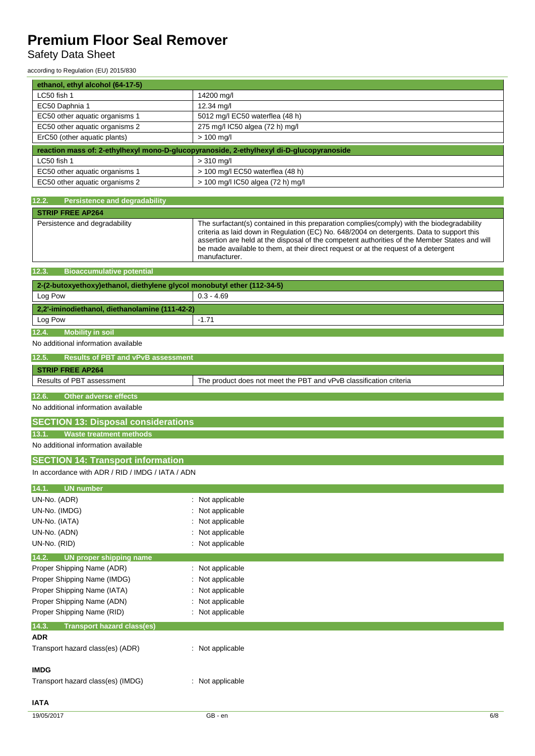## Safety Data Sheet

according to Regulation (EU) 2015/830

| ethanol, ethyl alcohol (64-17-5)                                                         |                                    |  |
|------------------------------------------------------------------------------------------|------------------------------------|--|
| LC50 fish 1                                                                              | 14200 mg/l                         |  |
| EC50 Daphnia 1                                                                           | 12.34 mg/l                         |  |
| EC50 other aquatic organisms 1                                                           | 5012 mg/l EC50 waterflea (48 h)    |  |
| EC50 other aquatic organisms 2                                                           | 275 mg/l IC50 algea (72 h) mg/l    |  |
| ErC50 (other aquatic plants)                                                             | $> 100$ mg/l                       |  |
| reaction mass of: 2-ethylhexyl mono-D-glucopyranoside, 2-ethylhexyl di-D-glucopyranoside |                                    |  |
| LC50 fish 1                                                                              | $> 310$ mg/l                       |  |
| EC50 other aquatic organisms 1                                                           | $>$ 100 mg/l EC50 waterflea (48 h) |  |
| EC50 other aquatic organisms 2                                                           | > 100 mg/l IC50 algea (72 h) mg/l  |  |

| 12.2.<br><b>Persistence and degradability</b>                           |                                                                                                                                                                                                                                                                                                                                                                                                  |
|-------------------------------------------------------------------------|--------------------------------------------------------------------------------------------------------------------------------------------------------------------------------------------------------------------------------------------------------------------------------------------------------------------------------------------------------------------------------------------------|
| <b>STRIP FREE AP264</b>                                                 |                                                                                                                                                                                                                                                                                                                                                                                                  |
| Persistence and degradability                                           | The surfactant(s) contained in this preparation complies(comply) with the biodegradability<br>criteria as laid down in Regulation (EC) No. 648/2004 on detergents. Data to support this<br>assertion are held at the disposal of the competent authorities of the Member States and will<br>be made available to them, at their direct request or at the request of a detergent<br>manufacturer. |
| 12.3.<br><b>Bioaccumulative potential</b>                               |                                                                                                                                                                                                                                                                                                                                                                                                  |
| 2-(2-butoxyethoxy)ethanol, diethylene glycol monobutyl ether (112-34-5) |                                                                                                                                                                                                                                                                                                                                                                                                  |
| Log Pow                                                                 | $0.3 - 4.69$                                                                                                                                                                                                                                                                                                                                                                                     |
| 2,2'-iminodiethanol, diethanolamine (111-42-2)                          |                                                                                                                                                                                                                                                                                                                                                                                                  |
| Log Pow                                                                 | $-1.71$                                                                                                                                                                                                                                                                                                                                                                                          |
| 12.4.<br><b>Mobility in soil</b>                                        |                                                                                                                                                                                                                                                                                                                                                                                                  |
| No additional information available                                     |                                                                                                                                                                                                                                                                                                                                                                                                  |
| 12.5.<br><b>Results of PBT and vPvB assessment</b>                      |                                                                                                                                                                                                                                                                                                                                                                                                  |
| <b>STRIP FREE AP264</b>                                                 |                                                                                                                                                                                                                                                                                                                                                                                                  |
| Results of PBT assessment                                               | The product does not meet the PBT and vPvB classification criteria                                                                                                                                                                                                                                                                                                                               |
|                                                                         |                                                                                                                                                                                                                                                                                                                                                                                                  |
| 12.6.<br><b>Other adverse effects</b>                                   |                                                                                                                                                                                                                                                                                                                                                                                                  |
| No additional information available                                     |                                                                                                                                                                                                                                                                                                                                                                                                  |
| <b>SECTION 13: Disposal considerations</b>                              |                                                                                                                                                                                                                                                                                                                                                                                                  |
| <b>Waste treatment methods</b><br>13.1.                                 |                                                                                                                                                                                                                                                                                                                                                                                                  |
| No additional information available                                     |                                                                                                                                                                                                                                                                                                                                                                                                  |
| <b>SECTION 14: Transport information</b>                                |                                                                                                                                                                                                                                                                                                                                                                                                  |
| In accordance with ADR / RID / IMDG / IATA / ADN                        |                                                                                                                                                                                                                                                                                                                                                                                                  |
| <b>UN number</b><br>14.1.                                               |                                                                                                                                                                                                                                                                                                                                                                                                  |
| UN-No. (ADR)                                                            | : Not applicable                                                                                                                                                                                                                                                                                                                                                                                 |
| UN-No. (IMDG)                                                           | Not applicable                                                                                                                                                                                                                                                                                                                                                                                   |
| UN-No. (IATA)                                                           | Not applicable                                                                                                                                                                                                                                                                                                                                                                                   |
| UN-No. (ADN)                                                            | : Not applicable                                                                                                                                                                                                                                                                                                                                                                                 |
| UN-No. (RID)                                                            | : Not applicable                                                                                                                                                                                                                                                                                                                                                                                 |
| UN proper shipping name<br>14.2.                                        |                                                                                                                                                                                                                                                                                                                                                                                                  |
| Proper Shipping Name (ADR)                                              | : Not applicable                                                                                                                                                                                                                                                                                                                                                                                 |
| Proper Shipping Name (IMDG)                                             | Not applicable                                                                                                                                                                                                                                                                                                                                                                                   |
| Proper Shipping Name (IATA)                                             | Not applicable                                                                                                                                                                                                                                                                                                                                                                                   |
| Proper Shipping Name (ADN)                                              | : Not applicable                                                                                                                                                                                                                                                                                                                                                                                 |
| Proper Shipping Name (RID)                                              | : Not applicable                                                                                                                                                                                                                                                                                                                                                                                 |
| 14.3.<br><b>Transport hazard class(es)</b>                              |                                                                                                                                                                                                                                                                                                                                                                                                  |
| <b>ADR</b>                                                              |                                                                                                                                                                                                                                                                                                                                                                                                  |
| Transport hazard class(es) (ADR)                                        | : Not applicable                                                                                                                                                                                                                                                                                                                                                                                 |
|                                                                         |                                                                                                                                                                                                                                                                                                                                                                                                  |
| <b>IMDG</b>                                                             |                                                                                                                                                                                                                                                                                                                                                                                                  |
| Transport hazard class(es) (IMDG)                                       | : Not applicable                                                                                                                                                                                                                                                                                                                                                                                 |
| <b>IATA</b>                                                             |                                                                                                                                                                                                                                                                                                                                                                                                  |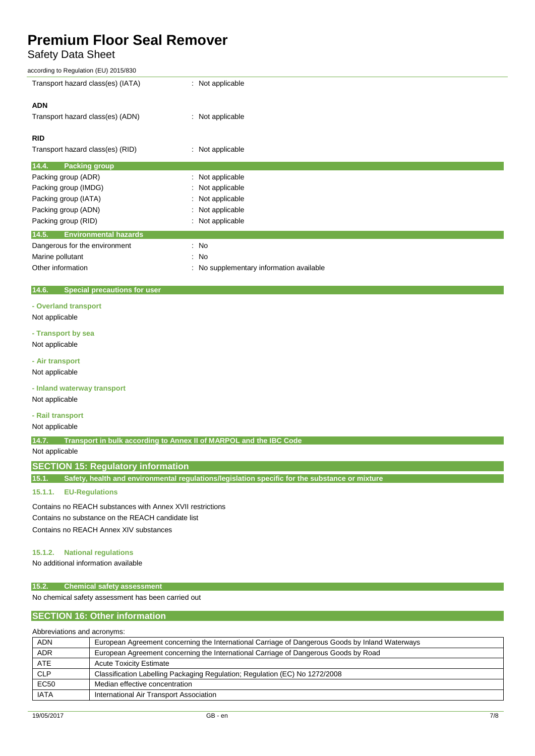## Safety Data Sheet

| according to Regulation (EU) 2015/830                                                                   |                                                                    |  |  |  |
|---------------------------------------------------------------------------------------------------------|--------------------------------------------------------------------|--|--|--|
| Transport hazard class(es) (IATA)                                                                       | : Not applicable                                                   |  |  |  |
| <b>ADN</b>                                                                                              |                                                                    |  |  |  |
| Transport hazard class(es) (ADN)                                                                        | Not applicable                                                     |  |  |  |
| <b>RID</b>                                                                                              |                                                                    |  |  |  |
| Transport hazard class(es) (RID)                                                                        | Not applicable                                                     |  |  |  |
| 14.4.<br><b>Packing group</b>                                                                           |                                                                    |  |  |  |
| Packing group (ADR)                                                                                     | : Not applicable                                                   |  |  |  |
| Packing group (IMDG)                                                                                    | Not applicable                                                     |  |  |  |
| Packing group (IATA)                                                                                    | Not applicable                                                     |  |  |  |
| Packing group (ADN)                                                                                     | Not applicable                                                     |  |  |  |
| Packing group (RID)                                                                                     | Not applicable                                                     |  |  |  |
|                                                                                                         |                                                                    |  |  |  |
| 14.5.<br><b>Environmental hazards</b>                                                                   |                                                                    |  |  |  |
| Dangerous for the environment                                                                           | : No                                                               |  |  |  |
| Marine pollutant                                                                                        | No                                                                 |  |  |  |
| Other information                                                                                       | No supplementary information available                             |  |  |  |
| <b>Special precautions for user</b><br>14.6.                                                            |                                                                    |  |  |  |
| - Overland transport                                                                                    |                                                                    |  |  |  |
| Not applicable                                                                                          |                                                                    |  |  |  |
| - Transport by sea                                                                                      |                                                                    |  |  |  |
| Not applicable                                                                                          |                                                                    |  |  |  |
| - Air transport                                                                                         |                                                                    |  |  |  |
| Not applicable                                                                                          |                                                                    |  |  |  |
| - Inland waterway transport                                                                             |                                                                    |  |  |  |
| Not applicable                                                                                          |                                                                    |  |  |  |
| - Rail transport                                                                                        |                                                                    |  |  |  |
| Not applicable                                                                                          |                                                                    |  |  |  |
| 14.7.                                                                                                   | Transport in bulk according to Annex II of MARPOL and the IBC Code |  |  |  |
| Not applicable                                                                                          |                                                                    |  |  |  |
| <b>SECTION 15: Regulatory information</b>                                                               |                                                                    |  |  |  |
| Safety, health and environmental regulations/legislation specific for the substance or mixture<br>15.1. |                                                                    |  |  |  |
| 15.1.1.<br><b>EU-Regulations</b>                                                                        |                                                                    |  |  |  |
| Contains no REACH substances with Annex XVII restrictions                                               |                                                                    |  |  |  |
| Contains no substance on the REACH candidate list                                                       |                                                                    |  |  |  |
| Contains no REACH Annex XIV substances                                                                  |                                                                    |  |  |  |
|                                                                                                         |                                                                    |  |  |  |
| <b>National regulations</b><br>15.1.2.<br>No additional information available                           |                                                                    |  |  |  |
|                                                                                                         |                                                                    |  |  |  |

### **15.2. Chemical safety assessment**

No chemical safety assessment has been carried out

### **SECTION 16: Other information**

### Abbreviations and acronyms:

| <b>ADN</b>  | European Agreement concerning the International Carriage of Dangerous Goods by Inland Waterways |
|-------------|-------------------------------------------------------------------------------------------------|
| <b>ADR</b>  | European Agreement concerning the International Carriage of Dangerous Goods by Road             |
| <b>ATE</b>  | <b>Acute Toxicity Estimate</b>                                                                  |
| <b>CLP</b>  | Classification Labelling Packaging Regulation; Regulation (EC) No 1272/2008                     |
| <b>EC50</b> | Median effective concentration                                                                  |
| <b>IATA</b> | International Air Transport Association                                                         |